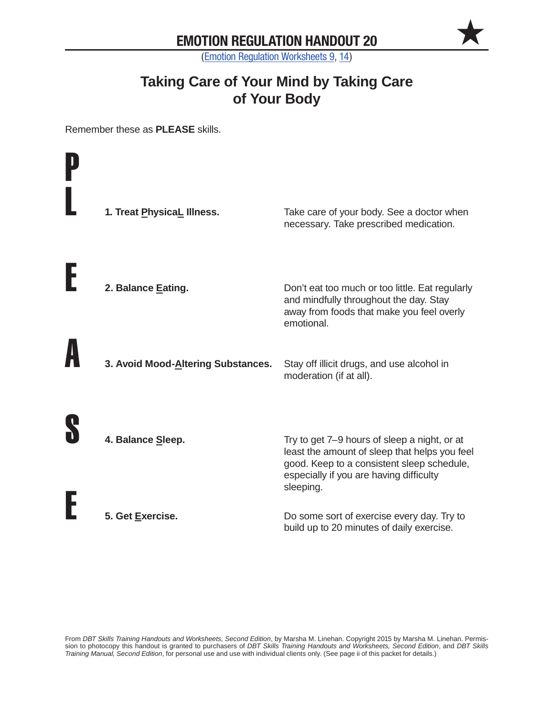$\bigstar$ 

(Emotion Regulation Worksheets 9, 14)

# **Taking Care of Your Mind by Taking Care of Your Body**

Remember these as **PLEASE** skills.

| 1. Treat PhysicaL Illness.         | Take care of your body. See a doctor when<br>necessary. Take prescribed medication.                                                                                                                 |
|------------------------------------|-----------------------------------------------------------------------------------------------------------------------------------------------------------------------------------------------------|
| 2. Balance Eating.                 | Don't eat too much or too little. Eat regularly<br>and mindfully throughout the day. Stay<br>away from foods that make you feel overly<br>emotional.                                                |
| 3. Avoid Mood-Altering Substances. | Stay off illicit drugs, and use alcohol in<br>moderation (if at all).                                                                                                                               |
| 4. Balance Sleep.                  | Try to get 7–9 hours of sleep a night, or at<br>least the amount of sleep that helps you feel<br>good. Keep to a consistent sleep schedule,<br>especially if you are having difficulty<br>sleeping. |
| 5. Get Exercise.                   | Do some sort of exercise every day. Try to<br>build up to 20 minutes of daily exercise.                                                                                                             |

From *DBT Skills Training Handouts and Worksheets, Second Edition*, by Marsha M. Linehan. Copyright 2015 by Marsha M. Linehan. Permission to photocopy this handout is granted to purchasers of *DBT Skills Training Handouts and Worksheets, Second Edition*, and *DBT Skills Training Manual, Second Edition*, for personal use and use with individual clients only. (See page ii of this packet for details.)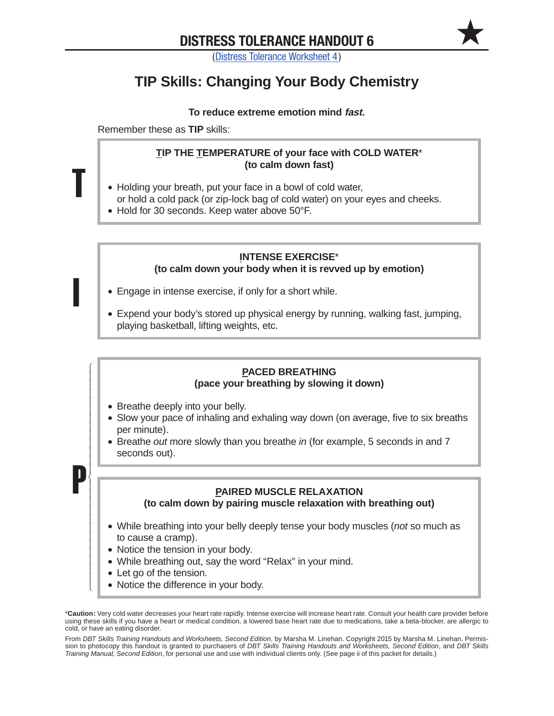$\bigstar$ 

(Distress Tolerance Worksheet 4)

# **TIP Skills: Changing Your Body Chemistry**

#### **To reduce extreme emotion mind fast.**

Remember these as **TIP** skills:

T

I

 $\overline{1}$  $\overline{1}$  $\overline{ }$  $\overline{1}$  $\overline{1}$  $\overline{ }$  $\overline{1}$  $\overline{1}$  $\overline{ }$  $\overline{1}$  $\overline{1}$  $\overline{ }$  $\overline{ }$ ₹  $\overline{ }$  $\overline{ }$  $\overline{1}$  $\overline{ }$  $\overline{ }$  $\overline{1}$  $\overline{ }$  $\overline{ }$  $\overline{1}$  $\overline{ }$  $\overline{1}$  $\overline{1}$  $\overline{\mathcal{L}}$ 

P

### **Tip the Temperature of your face with cold water**\* **(to calm down fast)**

- Holding your breath, put your face in a bowl of cold water, or hold a cold pack (or zip-lock bag of cold water) on your eyes and cheeks.
- Hold for 30 seconds. Keep water above 50°F.

## **Intense exercise**\* **(to calm down your body when it is revved up by emotion)**

- Engage in intense exercise, if only for a short while.
- •• Expend your body's stored up physical energy by running, walking fast, jumping, playing basketball, lifting weights, etc.

## **Paced breathing (pace your breathing by slowing it down)**

- Breathe deeply into your belly.
- •• Slow your pace of inhaling and exhaling way down (on average, five to six breaths per minute).
- •• Breathe *out* more slowly than you breathe *in* (for example, 5 seconds in and 7 seconds out).

### **Paired muscle relaxation**

**(to calm down by pairing muscle relaxation with breathing out)**

- •• While breathing into your belly deeply tense your body muscles (*not* so much as to cause a cramp).
- Notice the tension in your body.
- •• While breathing out, say the word "Relax" in your mind.
- Let go of the tension.
- Notice the difference in your body.

From *DBT Skills Training Handouts and Worksheets, Second Edition*, by Marsha M. Linehan. Copyright 2015 by Marsha M. Linehan. Permission to photocopy this handout is granted to purchasers of *DBT Skills Training Handouts and Worksheets, Second Edition*, and *DBT Skills Training Manual, Second Edition*, for personal use and use with individual clients only. (See page ii of this packet for details.)

<sup>\*</sup>**Caution:** Very cold water decreases your heart rate rapidly. Intense exercise will increase heart rate. Consult your health care provider before using these skills if you have a heart or medical condition, a lowered base heart rate due to medications, take a beta-blocker, are allergic to cold, or have an eating disorder.